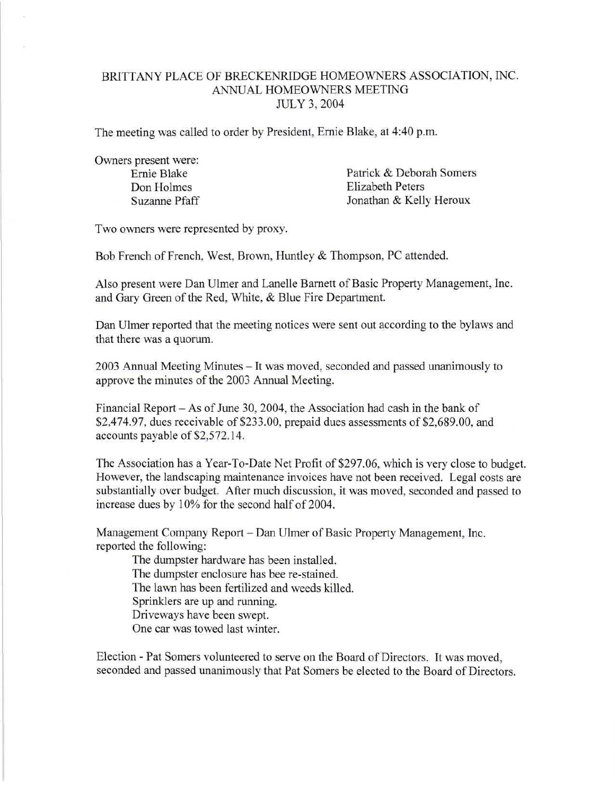## BRITTANY PLACE OF BRECKENRIDGE HOMEOWNERS ASSOCIATION, INC. ANNUAL HOMEOWNERS MEETING JULY 3, 2004

The meeting was called to order by President, Ernie Blake, at 4:40 p.m.

Owners present were:

Ernie Blake Patrick & Deborah Somers Don Holmes Elizabeth Peters Suzanne Pfaff Jonathan & Kelly Heroux

Two owners were represented by proxy.

Bob French of French, West, Brown, Huntley & Thompson, PC attended.

Also present were Dan Ulmer and Lanelle Barnett of Basic Property Management, Inc. and Gary Green of the Red, White, & Blue Fire Department.

Dan Ulmer reported that the meeting notices were sent out according to the bylaws and that there was a quorum.

2003 Annual Meeting Minutes - It was moved, seconded and passed unanimously to approve the minutes of the 2003 Annual Meeting.

Financial Report - As of June 30, 2004, the Association had cash in the bank of \$2,474.97, dues receivable of \$233.00, prepaid dues assessments of \$2,689.00, and accounts payable of \$2,572.14.

The Association has a Year-To-Date Net Profit of \$297.06, which is very close to budget. However, the landscaping maintenance invoices have not been received. Legal costs are substantially over budget. After much discussion, it was moved, seconded and passed to increase dues by 10% for the second half of 2004.

Management Company Report - Dan Ulmer of Basic Property Management, Inc. reported the following:

The dumpster hardware has been installed. The dumpster enclosure has bee re-stained. The lawn has been fertilized and weeds killed. Sprinklers are up and running. Driveways have been swept. One car was towed last winter.

Election - Pat Somers volunteered to serve on the Board of Directors. It was moved, seconded and passed unanimously that Pat Somers be elected to the Board of Directors.